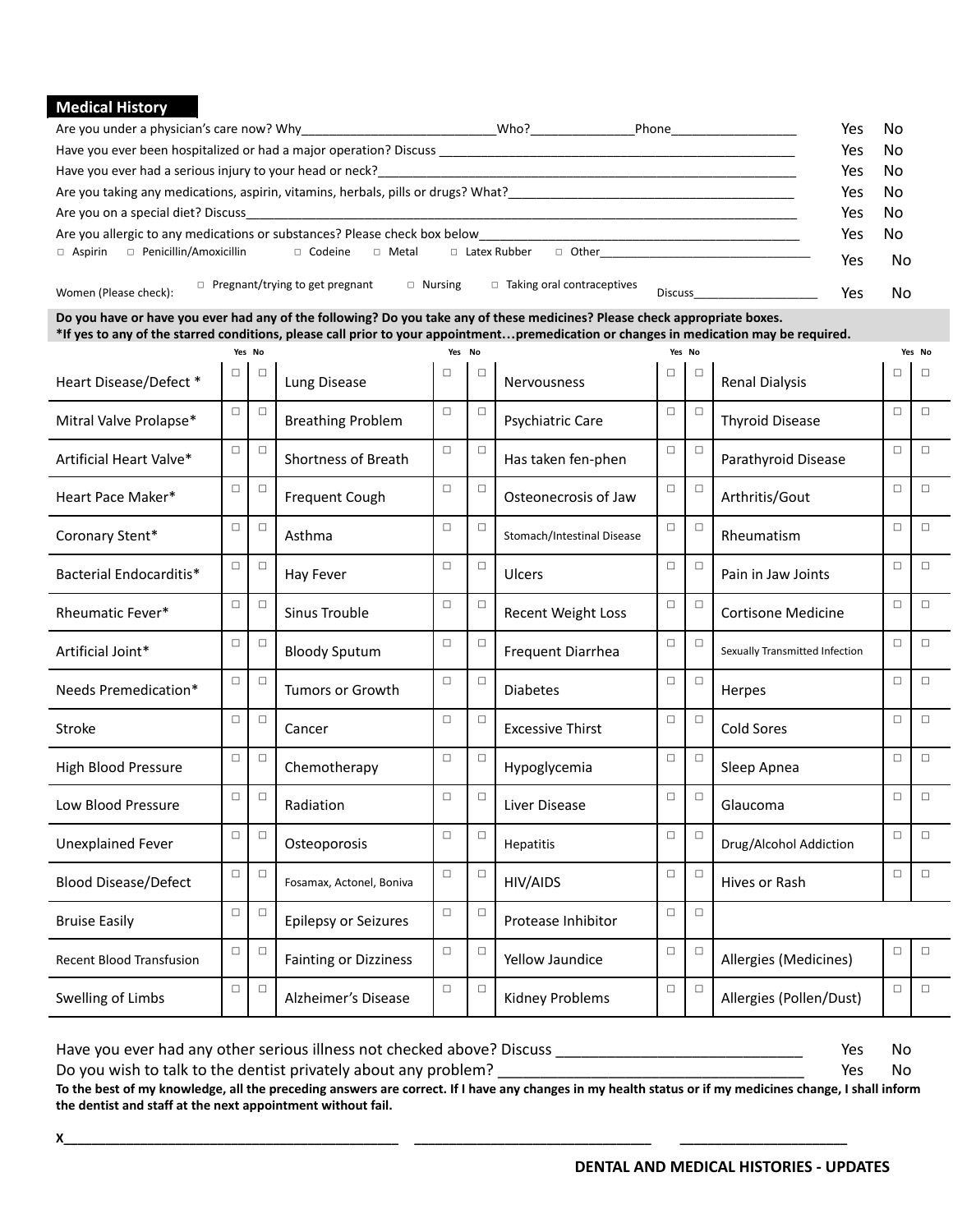## **Medical History**

| Are you under a physician's care now? Why                                 |                                                                                   | Who?                                | Phone          | Yes | No  |
|---------------------------------------------------------------------------|-----------------------------------------------------------------------------------|-------------------------------------|----------------|-----|-----|
|                                                                           | Have you ever been hospitalized or had a major operation? Discuss                 |                                     |                | Yes | No  |
| Have you ever had a serious injury to your head or neck?                  |                                                                                   |                                     |                | Yes | No  |
|                                                                           | Are you taking any medications, aspirin, vitamins, herbals, pills or drugs? What? |                                     |                | Yes | No  |
| Are you on a special diet? Discuss                                        |                                                                                   |                                     |                |     | No  |
| Are you allergic to any medications or substances? Please check box below |                                                                                   |                                     |                |     |     |
| □ Penicillin/Amoxicillin<br>$\Box$ Aspirin                                | $\Box$ Codeine<br>$\Box$ Metal                                                    | $\Box$ Latex Rubber<br>$\Box$ Other |                | Yes | No  |
| Women (Please check):                                                     | $\Box$ Pregnant/trying to get pregnant<br>$\Box$ Nursing                          | $\Box$ Taking oral contraceptives   | <b>Discuss</b> | Yes | No. |

| Do you have or have you ever had any of the following? Do you take any of these medicines? Please check appropriate boxes.             |
|----------------------------------------------------------------------------------------------------------------------------------------|
| *If yes to any of the starred conditions, please call prior to your appointmentpremedication or changes in medication may be required. |

| Yes No                          |        |        | Yes No                       |        |        | Yes No                     |        |        |                                | Yes No |        |
|---------------------------------|--------|--------|------------------------------|--------|--------|----------------------------|--------|--------|--------------------------------|--------|--------|
| Heart Disease/Defect *          | П      | п      | Lung Disease                 | □      | $\Box$ | <b>Nervousness</b>         | □      | $\Box$ | <b>Renal Dialysis</b>          | п      | п      |
| Mitral Valve Prolapse*          | $\Box$ | $\Box$ | <b>Breathing Problem</b>     | $\Box$ | $\Box$ | Psychiatric Care           | $\Box$ | $\Box$ | <b>Thyroid Disease</b>         | $\Box$ | $\Box$ |
| Artificial Heart Valve*         | $\Box$ | П      | Shortness of Breath          | $\Box$ | $\Box$ | Has taken fen-phen         | $\Box$ | $\Box$ | Parathyroid Disease            | $\Box$ | $\Box$ |
| Heart Pace Maker*               | $\Box$ | $\Box$ | Frequent Cough               | $\Box$ | $\Box$ | Osteonecrosis of Jaw       | $\Box$ | $\Box$ | Arthritis/Gout                 | $\Box$ | $\Box$ |
| Coronary Stent*                 | $\Box$ | $\Box$ | Asthma                       | $\Box$ | $\Box$ | Stomach/Intestinal Disease | $\Box$ | $\Box$ | Rheumatism                     | $\Box$ | $\Box$ |
| Bacterial Endocarditis*         | □      | $\Box$ | Hay Fever                    | $\Box$ | $\Box$ | Ulcers                     | $\Box$ | $\Box$ | Pain in Jaw Joints             | П.     | $\Box$ |
| Rheumatic Fever*                | $\Box$ | $\Box$ | Sinus Trouble                | $\Box$ | $\Box$ | Recent Weight Loss         | $\Box$ | $\Box$ | <b>Cortisone Medicine</b>      | $\Box$ | $\Box$ |
| Artificial Joint*               | $\Box$ | $\Box$ | <b>Bloody Sputum</b>         | $\Box$ | $\Box$ | Frequent Diarrhea          | $\Box$ | $\Box$ | Sexually Transmitted Infection | $\Box$ | $\Box$ |
| Needs Premedication*            | $\Box$ | $\Box$ | <b>Tumors or Growth</b>      | $\Box$ | $\Box$ | <b>Diabetes</b>            | $\Box$ | $\Box$ | Herpes                         | $\Box$ | $\Box$ |
| Stroke                          | $\Box$ | $\Box$ | Cancer                       | $\Box$ | $\Box$ | <b>Excessive Thirst</b>    | $\Box$ | $\Box$ | Cold Sores                     | $\Box$ | $\Box$ |
| <b>High Blood Pressure</b>      | $\Box$ | $\Box$ | Chemotherapy                 | $\Box$ | $\Box$ | Hypoglycemia               | $\Box$ | $\Box$ | Sleep Apnea                    | $\Box$ | $\Box$ |
| Low Blood Pressure              | $\Box$ | $\Box$ | Radiation                    | $\Box$ | $\Box$ | Liver Disease              | $\Box$ | $\Box$ | Glaucoma                       | $\Box$ | $\Box$ |
| <b>Unexplained Fever</b>        | $\Box$ | $\Box$ | Osteoporosis                 | $\Box$ | $\Box$ | Hepatitis                  | $\Box$ | $\Box$ | Drug/Alcohol Addiction         | $\Box$ | $\Box$ |
| <b>Blood Disease/Defect</b>     | $\Box$ | $\Box$ | Fosamax, Actonel, Boniva     | $\Box$ | $\Box$ | <b>HIV/AIDS</b>            | $\Box$ | $\Box$ | Hives or Rash                  | $\Box$ | $\Box$ |
| <b>Bruise Easily</b>            | $\Box$ | $\Box$ | <b>Epilepsy or Seizures</b>  | $\Box$ | $\Box$ | Protease Inhibitor         | $\Box$ | $\Box$ |                                |        |        |
| <b>Recent Blood Transfusion</b> | $\Box$ | $\Box$ | <b>Fainting or Dizziness</b> | $\Box$ | $\Box$ | Yellow Jaundice            | $\Box$ | $\Box$ | Allergies (Medicines)          | $\Box$ | $\Box$ |
| Swelling of Limbs               | $\Box$ | $\Box$ | Alzheimer's Disease          | $\Box$ | $\Box$ | <b>Kidney Problems</b>     | $\Box$ | $\Box$ | Allergies (Pollen/Dust)        | $\Box$ | $\Box$ |

Have you ever had any other serious illness not checked above? Discuss \_\_\_\_\_\_\_\_\_\_\_\_\_\_\_\_ Yes No

Do you wish to talk to the dentist privately about any problem?

Yes No

**To the best of my knowledge, all the preceding answers are correct. If I have any changes in my health status or if my medicines change, I shall inform the dentist and staff at the next appointment without fail.**